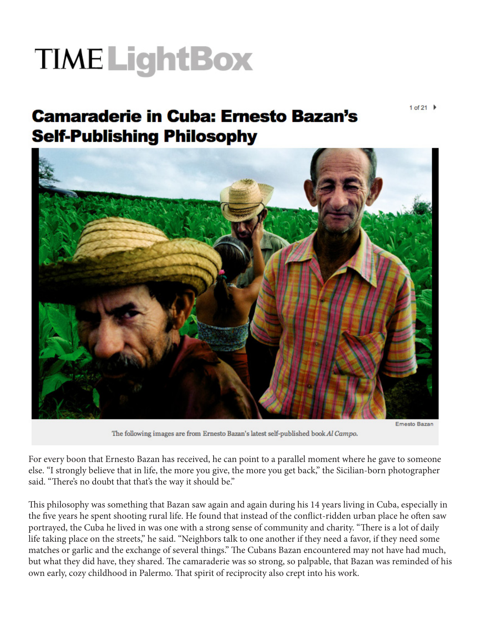## **TIME LightBox**

**Camaraderie in Cuba: Ernesto Bazan's Self-Publishing Philosophy** 



Ernesto Bazan

The following images are from Ernesto Bazan's latest self-published book Al Campo.

For every boon that Ernesto Bazan has received, he can point to a parallel moment where he gave to someone else. "I strongly believe that in life, the more you give, the more you get back," the Sicilian-born photographer said. "There's no doubt that that's the way it should be."

This philosophy was something that Bazan saw again and again during his 14 years living in Cuba, especially in the five years he spent shooting rural life. He found that instead of the conflict-ridden urban place he often saw portrayed, the Cuba he lived in was one with a strong sense of community and charity. "There is a lot of daily life taking place on the streets," he said. "Neighbors talk to one another if they need a favor, if they need some matches or garlic and the exchange of several things." The Cubans Bazan encountered may not have had much, but what they did have, they shared. The camaraderie was so strong, so palpable, that Bazan was reminded of his own early, cozy childhood in Palermo. That spirit of reciprocity also crept into his work.

1 of 21  $\blacktriangleright$